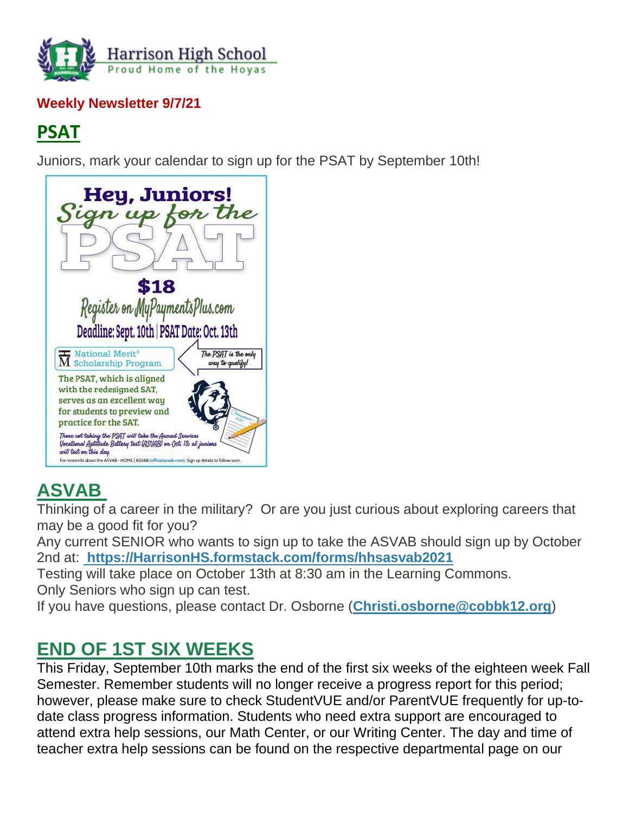

### **Weekly Newsletter 9/7/21**

# **PSAT**

Juniors, mark your calendar to sign up for the PSAT by September 10th!



# **ASVAB**

Thinking of a career in the military? Or are you just curious about exploring careers that may be a good fit for you?

Any current SENIOR who wants to sign up to take the ASVAB should sign up by October 2nd at: **[https://HarrisonHS.formstack.com/forms/hhsasvab2021](http://url503.cobbk12.org/ls/click?upn=k2a9oSGmmBVDQ-2BEzH5jEzTLwNsB7PjW5hg5PGN5MBErgA2mfdTGJYZ8161VJq8elInUWbt7VWUatd6EHYzXTsg-3D-3DnFMt_W-2BfLYUoUwwI1tuGClKRhhPOSepcZIFoXnUIMjiA717kQ1i13BNQTwwJ9cl-2BWArXrjMDzmdYDAz26vF1M-2BNMQlrdmY-2BXq2kcRE4H43kBN-2Fe3i-2BgMNPoD8V6h03hxrwY1zDYPoBgNxfAv18ddMQZNDSWMhhWEM4xifa3D-2FR6b07rTdyuV-2FounJ4d2fosPsIZWPxYgPDVZqQHTi7OctlxIMZ-2BOunWN32MpQ0rJz-2FnLMmwNPRT2Tf0KrdqakJ-2F0tHXyorFFAwNca9UI10Tf7nmhHGw-3D-3D)**

Testing will take place on October 13th at 8:30 am in the Learning Commons. Only Seniors who sign up can test.

If you have questions, please contact Dr. Osborne (**[Christi.osborne@cobbk12.org](mailto:christi.osborne@cobbk12.org)**)

# **END OF 1ST SIX WEEKS**

This Friday, September 10th marks the end of the first six weeks of the eighteen week Fall Semester. Remember students will no longer receive a progress report for this period; however, please make sure to check StudentVUE and/or ParentVUE frequently for up-todate class progress information. Students who need extra support are encouraged to attend extra help sessions, our Math Center, or our Writing Center. The day and time of teacher extra help sessions can be found on the respective departmental page on our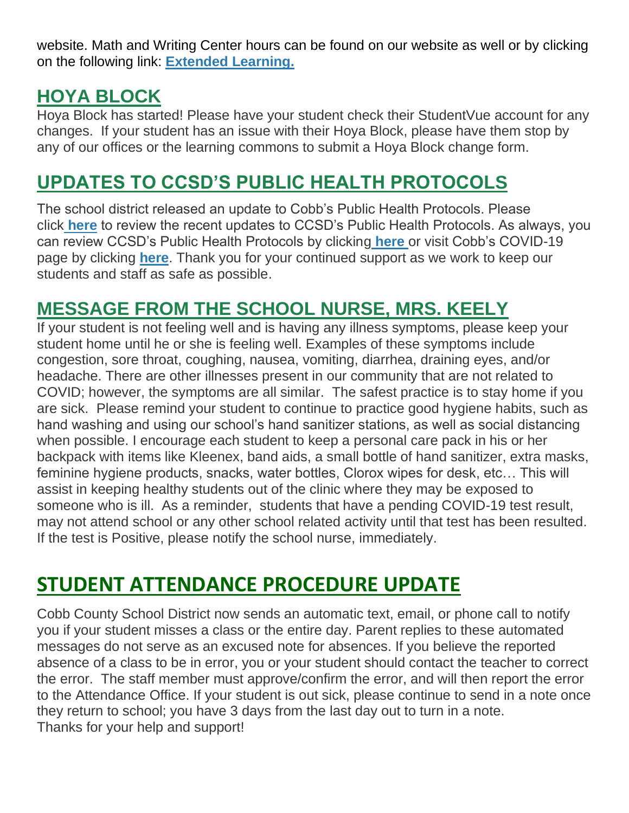website. Math and Writing Center hours can be found on our website as well or by clicking on the following link: **[Extended Learning.](http://url503.cobbk12.org/ls/click?upn=oq5wnnHoD1NAxpT8rNAGXO9pgQjsMrFEdSeXOUfDN1Q6S1X8-2Bc9oMkELc2mVcbjQL0taDwR-2F9QdWLzHuBVa4KZKM-2FGIqTT7pL2fkmoIUOxI-3DZKGq_W-2BfLYUoUwwI1tuGClKRhhPOSepcZIFoXnUIMjiA717kQ1i13BNQTwwJ9cl-2BWArXrjMDzmdYDAz26vF1M-2BNMQlrdmY-2BXq2kcRE4H43kBN-2Fe3i-2BgMNPoD8V6h03hxrwY1zMLeLxJe7p8VM37lNHvfCiPg4eQxQ4XasXpTC8dRiKpEYyIcYW3a1utCAg7PbEoplbNN5Dc4CVEf-2B9Smvsf1LTrLWosF1KAWsB-2BxI0xGCDRWCkbwv-2Bb3f55PJOK-2B0OKupHCYfAKbw41qa0WpWMs0ncA-3D-3D)**

# **HOYA BLOCK**

Hoya Block has started! Please have your student check their StudentVue account for any changes. If your student has an issue with their Hoya Block, please have them stop by any of our offices or the learning commons to submit a Hoya Block change form.

# **UPDATES TO CCSD'S PUBLIC HEALTH PROTOCOLS**

The school district released an update to Cobb's Public Health Protocols. Please click **[here](http://url503.cobbk12.org/ls/click?upn=oq5wnnHoD1NAxpT8rNAGXCNvR2E3rqz5lLRrOF56wksk40nL4Aczh8naXlXG-2BZ45t2xy_W-2BfLYUoUwwI1tuGClKRhhPOSepcZIFoXnUIMjiA717kQ1i13BNQTwwJ9cl-2BWArXrjMDzmdYDAz26vF1M-2BNMQlrdmY-2BXq2kcRE4H43kBN-2Fe3i-2BgMNPoD8V6h03hxrwY1z-2Fdo4DZfLoU6DcU9pZsmECtPscVOX1GtP18N-2B-2FPdpkAf69FLn8U9ImqWfADm0z-2BADM4DRH39Q1U8E7OBmksosec-2Fwrgmp-2FhBf9YErfJNK5nkxYs0L9rxvLSWu14-2Fb1JGdRqfYLD31JMd3939jo4M7lg-3D-3D)** to review the recent updates to CCSD's Public Health Protocols. As always, you can review CCSD's Public Health Protocols by clicking **[here](http://url503.cobbk12.org/ls/click?upn=oq5wnnHoD1NAxpT8rNAGXLeSSs2oqQ-2BhsGA3S2Aoidl5Xb0pkiKKQn-2Bcl-2FKt514c-2BpCocGLroP5WxR8tNWOFTAKIMOswQcArf2QU6do8q9V1m-2F0jhShpvqH3yUhtc7e5lpnB_W-2BfLYUoUwwI1tuGClKRhhPOSepcZIFoXnUIMjiA717kQ1i13BNQTwwJ9cl-2BWArXrjMDzmdYDAz26vF1M-2BNMQlrdmY-2BXq2kcRE4H43kBN-2Fe3i-2BgMNPoD8V6h03hxrwY1zmQ-2BRght4Fb2yEtQRIMIsRyrG70MCFl6h4J-2FDueRodzrhzNdq3hFjQ-2Bw6nwSzQaA6c2-2FCNewfHlJawj-2FDa03C689YH0VSlPKtQ1osS-2BHeE0ClRr4d3-2Fdy5zLWIFpD4ZHYTEgtlIQQdnuhR0CaHkfcyA-3D-3D)** or visit Cobb's COVID-19 page by clicking **[here](http://url503.cobbk12.org/ls/click?upn=kYpeu9rJVSU1acS4VG0V9dP8zXnygu7Up5qBE7usQ1jRmGDEuj6uzT9FPcnvQys9X5dnPemZru5Ni9W9eLDPVWqdx7Y5CnPU3sDRwLFgoNVTzAJjhMxjLsC2UioVmB0zHuoWrfuFEXWnswW0YwlPlqD51mg3RcpCzMNZTC87exVClfz38ywlVLaQUk1JwbcLajZ1JM4R8LKCfkreFbkQhkED6Fd4xIBTK5G6gWHkgweGcJ3EsKiAwZzvrir1gL1-2BwlONZFUAIwrn984eNNOrrd5nDBgD8dPWy7j3H-2FrEpoZZ8bSgDS8-2FQhQmYcvYcvWGrkGi7BgwC1wj8TDjU7WoKCUkwP3ejKJZU2D9odzWyUz7rkVHVNZkp3zdWAOGqn9XDef8sAKqM-2Bz9rJP-2F4VH0dIMDbfp-2Bcznr9SRnSA58K5Gk9gaaltBqD3ROJ9oZsckFbIRk9g0JGLVPoxxjh0lD0OdR1oT-2B5WE2aoPOQAdEmL3IWjvIuvRPQMqPW3EoIne6V8JqSQN3wzLQeTqarvgrv45BlmLlxlT0g76YooGDPBU-3DU3GX_W-2BfLYUoUwwI1tuGClKRhhPOSepcZIFoXnUIMjiA717kQ1i13BNQTwwJ9cl-2BWArXrjMDzmdYDAz26vF1M-2BNMQlrdmY-2BXq2kcRE4H43kBN-2Fe3i-2BgMNPoD8V6h03hxrwY1zz-2FT58DQ6EqmGNdAhBxvBMMdsArfzWJzmb5glKSr0MRAJQJZHMTrixf0fpeCbYdN6Ddeh1JYfVh1E2q8JD0es1UwLgrF9CkuzHDMe6hzIHM0tyZ-2Fjq0hYGbQtdLtMY6YTYmjMLx-2Fv1-2B1Y6R32yeAfgw-3D-3D)**. Thank you for your continued support as we work to keep our students and staff as safe as possible.

# **MESSAGE FROM THE SCHOOL NURSE, MRS. KEELY**

If your student is not feeling well and is having any illness symptoms, please keep your student home until he or she is feeling well. Examples of these symptoms include congestion, sore throat, coughing, nausea, vomiting, diarrhea, draining eyes, and/or headache. There are other illnesses present in our community that are not related to COVID; however, the symptoms are all similar. The safest practice is to stay home if you are sick. Please remind your student to continue to practice good hygiene habits, such as hand washing and using our school's hand sanitizer stations, as well as social distancing when possible. I encourage each student to keep a personal care pack in his or her backpack with items like Kleenex, band aids, a small bottle of hand sanitizer, extra masks, feminine hygiene products, snacks, water bottles, Clorox wipes for desk, etc… This will assist in keeping healthy students out of the clinic where they may be exposed to someone who is ill. As a reminder, students that have a pending COVID-19 test result, may not attend school or any other school related activity until that test has been resulted. If the test is Positive, please notify the school nurse, immediately.

# **STUDENT ATTENDANCE PROCEDURE UPDATE**

Cobb County School District now sends an automatic text, email, or phone call to notify you if your student misses a class or the entire day. Parent replies to these automated messages do not serve as an excused note for absences. If you believe the reported absence of a class to be in error, you or your student should contact the teacher to correct the error. The staff member must approve/confirm the error, and will then report the error to the Attendance Office. If your student is out sick, please continue to send in a note once they return to school; you have 3 days from the last day out to turn in a note. Thanks for your help and support!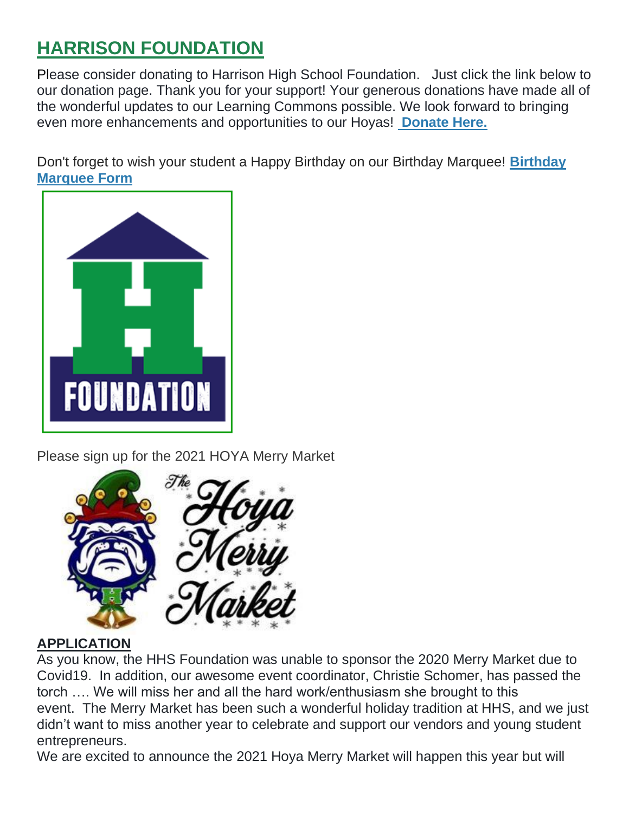# **HARRISON FOUNDATION**

Please consider donating to Harrison High School Foundation. Just click the link below to our donation page. Thank you for your support! Your generous donations have made all of the wonderful updates to our Learning Commons possible. We look forward to bringing even more enhancements and opportunities to our Hoyas! **[Donate Here.](http://url503.cobbk12.org/ls/click?upn=Q-2BKaVIKfS2AqG1NntRWXIuucmBLXHt0VTW51eWbEyXA9vECQY59-2B780kb-2FbreNPOEKe8lsI4uWP1Ku4nVNI6n9ZM-2Bf6t8k2Mf60kGEl-2BbB6n-2Bcw5TNbA1LOGstYOS0LuCZVTkfICdBZjtkBUUiJMf5XkmYZMQKWt7xXjslumnkcAJMCLQEclgUwqjiYMyN3-2FRHHaTAekXZpbW4gR3l4eo1kFOLd-2FxeBPLFOQz6H8viVWYuSSTnSg2Ujd1KIxs4frbqRWBdvhKUjNFTzHnuuVXtpUBgfMaZFGc1HrcbaqeORqBPRhDAxwktdpUOMlxk-2B9CEMU-2BK6J3OoueRbBluxh-2BIlHnXLF5fvUM3GJ-2B6UQR9YCPwImSqabB7d9HLmQlBJuhghhHAD1N7m8BEd0mmaTzHrDE6rG4vlXbE-2B32Fd-2B2bHRByO3-2Bp-2B3Q1PjoiD8h3qubaJQdI-2BhGjgkumhEEycAPQ-3D-3DkMFc_W-2BfLYUoUwwI1tuGClKRhhPOSepcZIFoXnUIMjiA717kQ1i13BNQTwwJ9cl-2BWArXrjMDzmdYDAz26vF1M-2BNMQlrdmY-2BXq2kcRE4H43kBN-2Fe3i-2BgMNPoD8V6h03hxrwY1zCVL8L6-2Fbsj9FwMZbevtaoMwIdBzBQD2uGPtJSug8qGWWxgx0rtN-2BiXGgSMPYe0XdIInxn99hLJNAf9ClY-2FO2qKCPIYhqK9ipKbXXfgvz0ICeU8-2Bv5LG2xHt2J2ccwWxA6YiuzK70-2FcZjwA7fsUHcsg-3D-3D)**

Don't forget to wish your student a Happy Birthday on our Birthday Marquee! **[Birthday](http://url503.cobbk12.org/ls/click?upn=Q-2BKaVIKfS2AqG1NntRWXIuucmBLXHt0VTW51eWbEyXA9vECQY59-2B780kb-2FbreNPOEKe8lsI4uWP1Ku4nVNI6n9ZM-2Bf6t8k2Mf60kGEl-2BbB6n-2Bcw5TNbA1LOGstYOS0LuCZVTkfICdBZjtkBUUiJMf5XkmYZMQKWt7xXjslumnkcAJMCLQEclgUwqjiYMyN3-2FRHHaTAekXZpbW4gR3l4eo1kFOLd-2FxeBPLFOQz6H8viVWYuSSTnSg2Ujd1KIxs4frbqRWBdvhKUjNFTzHnuuVXtpUBgfMaZFGc1HrcbaqeORqBPRhDAxwktdpUOMlxk-2B9CEMU-2BK6J3OoueRbBluxh-2BIlHnXLF5fvUM3GJ-2B6UQR9YCPwImSqabB7d9HLmQlBJuhghhHAD1N7m8BEd0mmaTzHrDE6rG4vlXbE-2B32Fd-2B2bHRByO3-2Bp-2B3Q1PjoiD8h3qubaJQdI-2BhGjgkumhEEycAPQ-3D-3Df-Wg_W-2BfLYUoUwwI1tuGClKRhhPOSepcZIFoXnUIMjiA717kQ1i13BNQTwwJ9cl-2BWArXrjMDzmdYDAz26vF1M-2BNMQlrdmY-2BXq2kcRE4H43kBN-2Fe3i-2BgMNPoD8V6h03hxrwY1zP647Bfr4cr4ZdTjzTgwM6kezwOinUQkvuon1n8OLshO-2BgxvavFJztyi505z-2FsuG6Pg5rmR0kfOCBF6Aj4JPk5hfVJbxKdJnR1ep8j7ieuY2g8oenvuPQEDmzvYSiltOHAqjDBMbkNpT9KJQKLyv7iA-3D-3D)  [Marquee Form](http://url503.cobbk12.org/ls/click?upn=Q-2BKaVIKfS2AqG1NntRWXIuucmBLXHt0VTW51eWbEyXA9vECQY59-2B780kb-2FbreNPOEKe8lsI4uWP1Ku4nVNI6n9ZM-2Bf6t8k2Mf60kGEl-2BbB6n-2Bcw5TNbA1LOGstYOS0LuCZVTkfICdBZjtkBUUiJMf5XkmYZMQKWt7xXjslumnkcAJMCLQEclgUwqjiYMyN3-2FRHHaTAekXZpbW4gR3l4eo1kFOLd-2FxeBPLFOQz6H8viVWYuSSTnSg2Ujd1KIxs4frbqRWBdvhKUjNFTzHnuuVXtpUBgfMaZFGc1HrcbaqeORqBPRhDAxwktdpUOMlxk-2B9CEMU-2BK6J3OoueRbBluxh-2BIlHnXLF5fvUM3GJ-2B6UQR9YCPwImSqabB7d9HLmQlBJuhghhHAD1N7m8BEd0mmaTzHrDE6rG4vlXbE-2B32Fd-2B2bHRByO3-2Bp-2B3Q1PjoiD8h3qubaJQdI-2BhGjgkumhEEycAPQ-3D-3Df-Wg_W-2BfLYUoUwwI1tuGClKRhhPOSepcZIFoXnUIMjiA717kQ1i13BNQTwwJ9cl-2BWArXrjMDzmdYDAz26vF1M-2BNMQlrdmY-2BXq2kcRE4H43kBN-2Fe3i-2BgMNPoD8V6h03hxrwY1zP647Bfr4cr4ZdTjzTgwM6kezwOinUQkvuon1n8OLshO-2BgxvavFJztyi505z-2FsuG6Pg5rmR0kfOCBF6Aj4JPk5hfVJbxKdJnR1ep8j7ieuY2g8oenvuPQEDmzvYSiltOHAqjDBMbkNpT9KJQKLyv7iA-3D-3D)**



Please sign up for the 2021 HOYA Merry Market



### **APPLICATION**

As you know, the HHS Foundation was unable to sponsor the 2020 Merry Market due to Covid19. In addition, our awesome event coordinator, Christie Schomer, has passed the torch …. We will miss her and all the hard work/enthusiasm she brought to this event. The Merry Market has been such a wonderful holiday tradition at HHS, and we just didn't want to miss another year to celebrate and support our vendors and young student entrepreneurs.

We are excited to announce the 2021 Hoya Merry Market will happen this year but will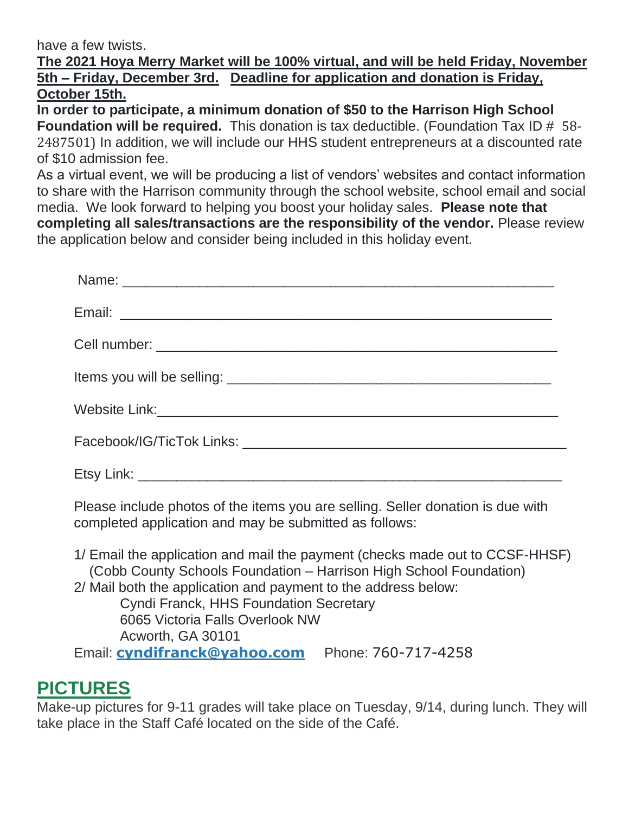have a few twists.

#### **The 2021 Hoya Merry Market will be 100% virtual, and will be held Friday, November 5th – Friday, December 3rd. Deadline for application and donation is Friday, October 15th.**

**In order to participate, a minimum donation of \$50 to the Harrison High School Foundation will be required.** This donation is tax deductible. (Foundation Tax ID # 58- 2487501) In addition, we will include our HHS student entrepreneurs at a discounted rate of \$10 admission fee.

As a virtual event, we will be producing a list of vendors' websites and contact information to share with the Harrison community through the school website, school email and social media. We look forward to helping you boost your holiday sales. **Please note that completing all sales/transactions are the responsibility of the vendor.** Please review the application below and consider being included in this holiday event.

Please include photos of the items you are selling. Seller donation is due with completed application and may be submitted as follows:

1/ Email the application and mail the payment (checks made out to CCSF-HHSF) (Cobb County Schools Foundation – Harrison High School Foundation)

2/ Mail both the application and payment to the address below:

Cyndi Franck, HHS Foundation Secretary 6065 Victoria Falls Overlook NW Acworth, GA 30101

## Email: **[cyndifranck@yahoo.com](mailto:cyndifranck@yahoo.com)** Phone: 760-717-4258

# **PICTURES**

Make-up pictures for 9-11 grades will take place on Tuesday, 9/14, during lunch. They will take place in the Staff Café located on the side of the Café.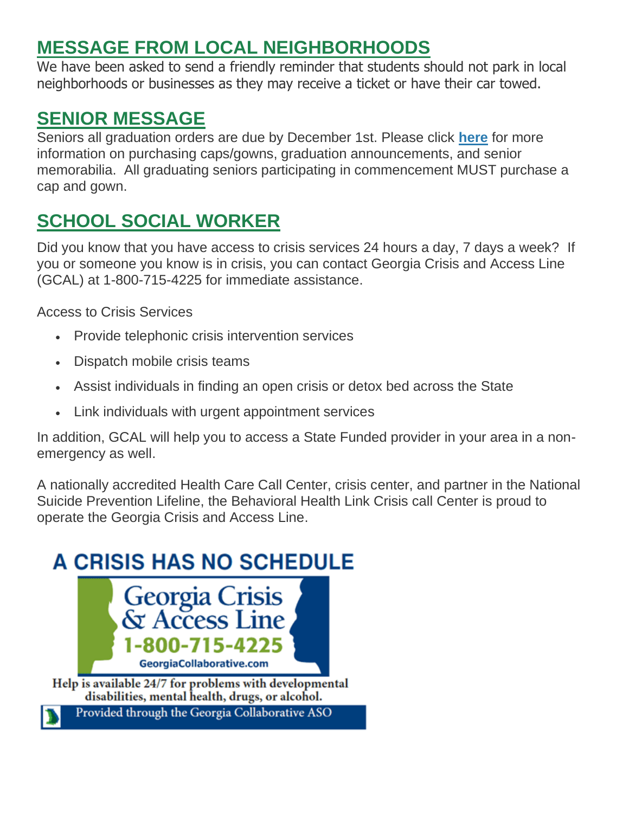# **MESSAGE FROM LOCAL NEIGHBORHOODS**

We have been asked to send a friendly reminder that students should not park in local neighborhoods or businesses as they may receive a ticket or have their car towed.

# **SENIOR MESSAGE**

Seniors all graduation orders are due by December 1st. Please click **[here](http://url503.cobbk12.org/ls/click?upn=U4hCIp-2BhfB8EhA-2BKcjUp5AtOtpNXdN8uxH-2Fy67Vg4-2FK6u-2FJ0pQfT4XhP3AbOB42pjakU_W-2BfLYUoUwwI1tuGClKRhhPOSepcZIFoXnUIMjiA717kQ1i13BNQTwwJ9cl-2BWArXrjMDzmdYDAz26vF1M-2BNMQlrdmY-2BXq2kcRE4H43kBN-2Fe3i-2BgMNPoD8V6h03hxrwY1zOgp-2FKPRCEffSFuqvrQqEg23nAxN2wo9Bjgp3R59Epyx21tfzp1rw67Vq4OkqdIX75RlO1ahGMiTslQ-2BL7SVo9DLBKNXyLV3bHOlOzKVenIIIAi2WedP3KIbvf6Nf2JVO5JtIWT2fZnHRoUQLwKADKg-3D-3D)** for more information on purchasing caps/gowns, graduation announcements, and senior memorabilia. All graduating seniors participating in commencement MUST purchase a cap and gown.

# **SCHOOL SOCIAL WORKER**

Did you know that you have access to crisis services 24 hours a day, 7 days a week? If you or someone you know is in crisis, you can contact Georgia Crisis and Access Line (GCAL) at 1-800-715-4225 for immediate assistance.

Access to Crisis Services

- Provide telephonic crisis intervention services
- Dispatch mobile crisis teams
- Assist individuals in finding an open crisis or detox bed across the State
- Link individuals with urgent appointment services

In addition, GCAL will help you to access a State Funded provider in your area in a nonemergency as well.

A nationally accredited Health Care Call Center, crisis center, and partner in the National Suicide Prevention Lifeline, the Behavioral Health Link Crisis call Center is proud to operate the Georgia Crisis and Access Line.

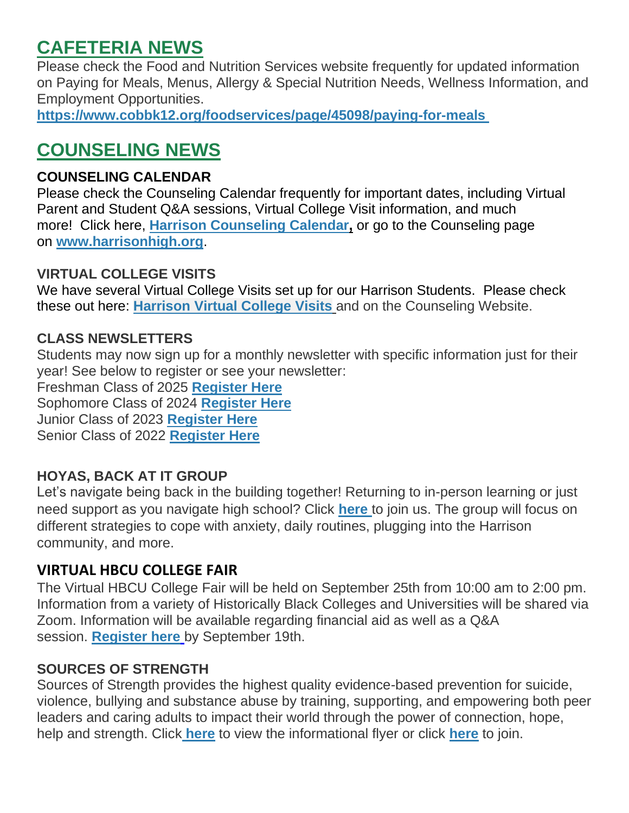# **CAFETERIA NEWS**

Please check the Food and Nutrition Services website frequently for updated information on Paying for Meals, Menus, Allergy & Special Nutrition Needs, Wellness Information, and Employment Opportunities.

**[https://www.cobbk12.org/foodservices/page/45098/paying-for-meals](http://url503.cobbk12.org/ls/click?upn=oq5wnnHoD1NAxpT8rNAGXIgEcF6cFUXUYIe-2B8AO3LVyx4t4OJsNWVhu0iEI2j90fBOcAAqhr4f3pHktzPZuYg83p0mcu7zlRbWoKDhAG9jg-3D9xCu_W-2BfLYUoUwwI1tuGClKRhhPOSepcZIFoXnUIMjiA717kQ1i13BNQTwwJ9cl-2BWArXrjMDzmdYDAz26vF1M-2BNMQlrdmY-2BXq2kcRE4H43kBN-2Fe3i-2BgMNPoD8V6h03hxrwY1zOsaLdQ6lXCBtjnaVLg71QKPAtmtVvUQNJGzw87axzoUhRDQVIcrkuAbcvossgEe2HCD5hh-2F661h5Ed9fRVfNtQ7hIjNojWIz-2BM4dRifXCgBDkf1ytf3FEea1zdnDEuUqetsWCXOLCAYbMbNb-2FRirdA-3D-3D)**

# **COUNSELING NEWS**

## **COUNSELING CALENDAR**

Please check the Counseling Calendar frequently for important dates, including Virtual Parent and Student Q&A sessions, Virtual College Visit information, and much more! Click here, **[Harrison Counseling Calendar,](http://url503.cobbk12.org/ls/click?upn=G8An3K6JlHsR8QtKBFuzdoB1znjZkDc3Km2Sgf1PHVpycz16KMZXgXgxh3dcC-2FS8NJmdhIjRhMEVOdXvIran0PoO612nc8dPRxDRKmrySvOyPaCPkwQVxnm5P9WY4kGuByjjBLs9jX8AnVcQz2F0xdPJWUq-2BTqmbYJsClRyFwEgRo9BS-2BibqsB2DQhPPMblVjEom_W-2BfLYUoUwwI1tuGClKRhhPOSepcZIFoXnUIMjiA717kQ1i13BNQTwwJ9cl-2BWArXrjMDzmdYDAz26vF1M-2BNMQlrdmY-2BXq2kcRE4H43kBN-2Fe3i-2BgMNPoD8V6h03hxrwY1zYrLAPLai5pKg81G0287P3hgodfdq0xEvilIlXDX4euF2pRAnGkpo1j4EfYOiva8y3XCLSHG6U4MlSwcdyAOXrs5KHerFsFYB-2FiJtIwiCks30MNOE0x7huC1jeThNLa5mxl-2FwRKaOiFAlr7ukQNgCGw-3D-3D)** or go to the Counseling page on **[www.harrisonhigh.org](http://url503.cobbk12.org/ls/click?upn=oq5wnnHoD1NAxpT8rNAGXO9pgQjsMrFEdSeXOUfDN1SmFc2KsGzpApGt0h4W-2BnTi3qOMFT0pAhpU4g9jzi2oghIA-2BD5qxCmArcny4yPncCY-3DVwh2_W-2BfLYUoUwwI1tuGClKRhhPOSepcZIFoXnUIMjiA717kQ1i13BNQTwwJ9cl-2BWArXrjMDzmdYDAz26vF1M-2BNMQlrdmY-2BXq2kcRE4H43kBN-2Fe3i-2BgMNPoD8V6h03hxrwY1zegYvo8p9VHPjQyqnwVQhc99ZfugDlBylQstMZ9CO-2B9U3yH8-2B-2FCNZ882JK7lbP0-2B8SluQrdg6gSiV1AhKYDcysmoWlSiPqjpUuj8Gr9iGWMizgs9vC9fJdYry-2FHRJ71Eakm-2BTDHUryVgG8hRfr8ogMA-3D-3D)**.

### **VIRTUAL COLLEGE VISITS**

We have several Virtual College Visits set up for our Harrison Students. Please check these out here: **[Harrison Virtual College Visits](http://url503.cobbk12.org/ls/click?upn=G8An3K6JlHsR8QtKBFuzdogXPJqD3Uz2QqY8s2OfxygfiXPa-2BLVg3oKWlcUFgjTffPxwSarE77p-2FOfJTl3QvbpgPiFEQheAZA772IpRJMifiqQmDkS-2BKBGjOIoKGjM7QQDhTGARgZvMYUugThyMfc1u3H422O6jO2zhAvrxBFglXp3F6gpegHyc5A3y-2BtXoarMbtV-2FDS2nSwRHJx513wzw-3D-3DEBmO_W-2BfLYUoUwwI1tuGClKRhhPOSepcZIFoXnUIMjiA717kQ1i13BNQTwwJ9cl-2BWArXrjMDzmdYDAz26vF1M-2BNMQlrdmY-2BXq2kcRE4H43kBN-2Fe3i-2BgMNPoD8V6h03hxrwY1zVsmOCiAgHBjXQJRj6GZOb9IUDvXVnKETiCRxXUwMeU0lR7CLS7AUq5JMHkr9jzt-2BRULcw5PL8iTpjSxw062LaVGvo6OUx0qETrzwIp-2FI6VfeDCGngP2cny9GdGZ-2BzGOGCtQtOHxVFsG79j9i-2FuclDw-3D-3D)** and on the Counseling Website.

### **CLASS NEWSLETTERS**

Students may now sign up for a monthly newsletter with specific information just for their year! See below to register or see your newsletter:

Freshman Class of 2025 **[Register Here](http://url503.cobbk12.org/ls/click?upn=Lr5Kj85exJaDj793QUoDMxoBFqYG9jsvxI4LoJlDFzMhUCpXbnVhhqIbIvVR7eDkW2lzE7udnvgKuQAcOzbNvqwOcyAOegilze8a86prJ3frgbJArpe-2Bu9kCda-2FHphK4YS3syaEi6KXoq5ecEB9E0ne7Np47MCHzPx514UIHtE2z1DtWvQSMAPs1SLFsz3LtZg_s_W-2BfLYUoUwwI1tuGClKRhhPOSepcZIFoXnUIMjiA717kQ1i13BNQTwwJ9cl-2BWArXrjMDzmdYDAz26vF1M-2BNMQlrdmY-2BXq2kcRE4H43kBN-2Fe3i-2BgMNPoD8V6h03hxrwY1z1k7zp2ilxMStzHpwP-2BEZT44eVLcPta86UvVkBbpvJJ9hizQn22vQ7946aA6U6JtBXvVD3z2UBufzbQt5uOdNuvYBh80B-2FmelijbtgR6I3gVkBF7IUHDtBliI-2FSVVF9eoEn-2BezCrZVC88J5oRR-2F1erA-3D-3D)** Sophomore Class of 2024 **[Register Here](http://url503.cobbk12.org/ls/click?upn=HU5K2q0Fz5ADTGboxPzOzV-2FXL0qE7BYVJk79MoYchrauedMvYHudRAftRA00KPmFHZOLKRfgjsRXY-2BcHASSl312-2FI8XajR6tsunOTcP2YhE-3D9oUC_W-2BfLYUoUwwI1tuGClKRhhPOSepcZIFoXnUIMjiA717kQ1i13BNQTwwJ9cl-2BWArXrjMDzmdYDAz26vF1M-2BNMQlrdmY-2BXq2kcRE4H43kBN-2Fe3i-2BgMNPoD8V6h03hxrwY1zACLTb0MfSf0mDMbv7YQBVYBIbB-2FRuMsazFp7QQ8sbrkYjnrHp6PjKJin5LpSRPY36CGIqwwVbPHE0cVOmXkvs7e72eu0-2FXUSWsbhtyB8j9VpVkaCqXXAoMnPYsb7nvy6raJ9-2FHHJ1ockh4UzJ2DN2g-3D-3D)** Junior Class of 2023 **[Register Here](http://url503.cobbk12.org/ls/click?upn=HU5K2q0Fz5ADTGboxPzOzc-2FmDrLeRPv-2F5f6cytuJSxI0trpBiz9UDAwo-2Bcb69f-2BotMmx4AwlG5hn6eMqzvsNDsYVvUofQRcF3tP7lqOzjVNqfGZzo2pBbv9178J2dZt2supnlVwvxbV-2B2CZdWNWDsw-3D-3DEDp5_W-2BfLYUoUwwI1tuGClKRhhPOSepcZIFoXnUIMjiA717kQ1i13BNQTwwJ9cl-2BWArXrjMDzmdYDAz26vF1M-2BNMQlrdmY-2BXq2kcRE4H43kBN-2Fe3i-2BgMNPoD8V6h03hxrwY1zAAjvz9iTjHng4iXwbBvkWcl6IoKUxGN2yFLzTDb8O92sw2rWYgEIryjB4ydLlKqLZGjdlhnWtF09prcWRgRD-2BM2h-2FB5Tk7n4rUZ-2BgYihW8WXToqxNxHPzvAwihknMQFB5jfwUbGJHk5aJ14EliYXJQ-3D-3D)**

Senior Class of 2022 **[Register Here](http://url503.cobbk12.org/ls/click?upn=Lr5Kj85exJaDj793QUoDMxoBFqYG9jsvxI4LoJlDFzMhUCpXbnVhhqIbIvVR7eDkW2lzE7udnvgKuQAcOzbNvqwOcyAOegilze8a86prJ3dDt6tBPLENBJTdrQCUrueLZgINQSeok4wIPB8t7DObpshp395kKSQ2QJBawc2T6bK-2FQpKcY6cz3X5556wmPmprUp6v_W-2BfLYUoUwwI1tuGClKRhhPOSepcZIFoXnUIMjiA717kQ1i13BNQTwwJ9cl-2BWArXrjMDzmdYDAz26vF1M-2BNMQlrdmY-2BXq2kcRE4H43kBN-2Fe3i-2BgMNPoD8V6h03hxrwY1zJlosRczT3i3B0cC6sf-2FTcDebO904rM0ll5hUJJNJ6ruHMYxekltPv3UaCyBAFlGNsyCJdeBaKGxZIWjl8P1Nv9BPORic6S8O0g7evbZsQWrze7wjlfGNQsSYTIPAo0C85HolxxiYLary4R0AfY4Tow-3D-3D)**

### **HOYAS, BACK AT IT GROUP**

Let's navigate being back in the building together! Returning to in-person learning or just need support as you navigate high school? Click **[here](http://url503.cobbk12.org/ls/click?upn=Lr5Kj85exJaDj793QUoDMxoBFqYG9jsvxI4LoJlDFzMhUCpXbnVhhqIbIvVR7eDkW2lzE7udnvgKuQAcOzbNvqwOcyAOegilze8a86prJ3c6419VojaHWh3MTfRUqR09J1SBwpAilWUpmpdMa12f1jZgurvOJ2fjzMYAdmDxVToiiE-2FK9p8CzWdLm5OV6iE1NRdtg3vcahvcsulFHv0gAw-3D-3DF2cv_W-2BfLYUoUwwI1tuGClKRhhPOSepcZIFoXnUIMjiA717kQ1i13BNQTwwJ9cl-2BWArXrjMDzmdYDAz26vF1M-2BNMQlrdmY-2BXq2kcRE4H43kBN-2Fe3i-2BgMNPoD8V6h03hxrwY1z0Tk8U-2BxrnSC-2BTqXXPRNxyaNE0Unh3igtSdEAo21VO5NzOIQ6N8fh9IKKE5YieFKo-2F6BsYrF1Q2IOa46uvhhHPFvhlTbwCKmPFzZYjUhFD1YL6XBjER3uUNngK98Wde-2FhCsu-2FPwiFHD3H9PPQ26MetA-3D-3D)** to join us. The group will focus on different strategies to cope with anxiety, daily routines, plugging into the Harrison community, and more.

### **VIRTUAL HBCU COLLEGE FAIR**

The Virtual HBCU College Fair will be held on September 25th from 10:00 am to 2:00 pm. Information from a variety of Historically Black Colleges and Universities will be shared via Zoom. Information will be available regarding financial aid as well as a Q&A session. **[Register here](http://url503.cobbk12.org/ls/click?upn=7Cgej4KTsfnFpBktLp-2B-2BsLXfRiThtSeh61Lu5RVpCluolsGeENLnFxA-2Bcb4NXT33vljA_W-2BfLYUoUwwI1tuGClKRhhPOSepcZIFoXnUIMjiA717kQ1i13BNQTwwJ9cl-2BWArXrjMDzmdYDAz26vF1M-2BNMQlrdmY-2BXq2kcRE4H43kBN-2Fe3i-2BgMNPoD8V6h03hxrwY1zc0jNrx0-2BrA-2BpCqeuEQj-2BNQMM1Z-2B0LMuPkEmpcuA8kHc0JcvLTzLLD08GetR5Clr7YNl0Zsej-2FE5405LibpVmRT86dgMbSmDLDxZXvSsanHGcFACmRhHcpRwPD7-2FMTu2j77zwCjplHmV2LPpu3wzB2Q-3D-3D)** by September 19th.

### **SOURCES OF STRENGTH**

Sources of Strength provides the highest quality evidence-based prevention for suicide, violence, bullying and substance abuse by training, supporting, and empowering both peer leaders and caring adults to impact their world through the power of connection, hope, help and strength. Click **[here](http://url503.cobbk12.org/ls/click?upn=HU5K2q0Fz5ADTGboxPzOzV-2FXL0qE7BYVJk79MoYchrbTeqhmypNS4Hf1PeooKeOjOddXVAktnO-2FAjkLX46asye6gUwbNwlU5QbYraxSDzrDMPOoKMiqGCdxeYB2IRu8kWC6k_W-2BfLYUoUwwI1tuGClKRhhPOSepcZIFoXnUIMjiA717kQ1i13BNQTwwJ9cl-2BWArXrjMDzmdYDAz26vF1M-2BNMQlrdmY-2BXq2kcRE4H43kBN-2Fe3i-2BgMNPoD8V6h03hxrwY1z3-2B1NZNqBRYrZsp-2BPHijbIcqe0CoYGGsyfHSFdQ-2FRvNrJjUHycvZQ6bx2pb5iDd1LCVVuIcsz0F6UMbCyums14mLB5E4DJgUpohdH68PYbT9U-2FKNSkBLu3uN3KNxktMkR7Oj2rXM1ySEYUnQK9qoiPg-3D-3D)** to view the informational flyer or click **[here](http://url503.cobbk12.org/ls/click?upn=Lr5Kj85exJaDj793QUoDMxoBFqYG9jsvxI4LoJlDFzMhUCpXbnVhhqIbIvVR7eDkW2lzE7udnvgKuQAcOzbNvqwOcyAOegilze8a86prJ3dDt6tBPLENBJTdrQCUrueLLxsGX47LotY9khGJHeZQGV6DK-2B6dm7x4uNW7TEf5QPZGjjzxzxkhsw3EgHbNkKgos719_W-2BfLYUoUwwI1tuGClKRhhPOSepcZIFoXnUIMjiA717kQ1i13BNQTwwJ9cl-2BWArXrjMDzmdYDAz26vF1M-2BNMQlrdmY-2BXq2kcRE4H43kBN-2Fe3i-2BgMNPoD8V6h03hxrwY1z6WEKpP6n4vmigbpXUrGYShYcE-2BaFYMV0Gxy6PuWhAhf2HhdZpycd8bNDKhxKoxiuirOlx3l2Haz2UDgSNUiq2UUBbB6nuLvWI6rx3HKbaws8yA7mGYb0Npl2ZN-2FMBG4qA7h3y1B9oAXOmUD9icilNw-3D-3D)** to join.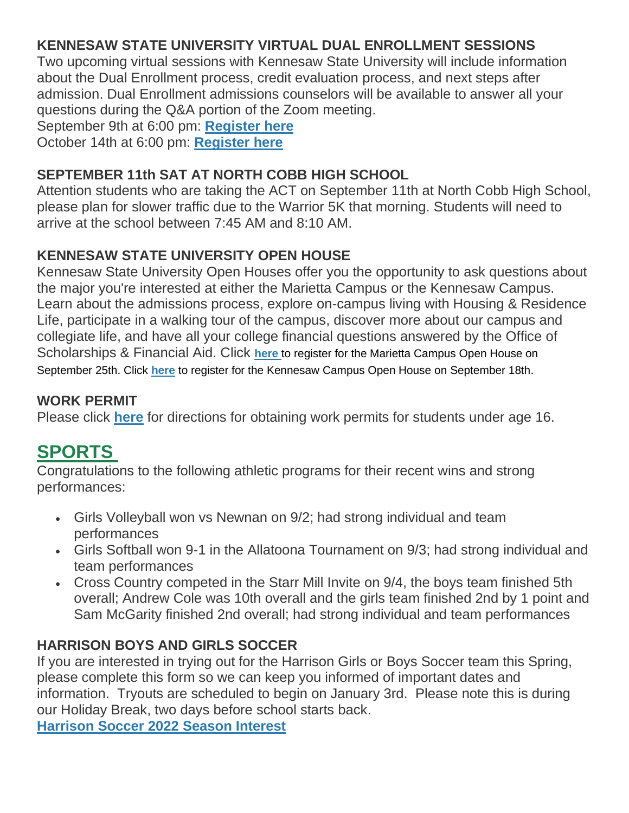### **KENNESAW STATE UNIVERSITY VIRTUAL DUAL ENROLLMENT SESSIONS**

Two upcoming virtual sessions with Kennesaw State University will include information about the Dual Enrollment process, credit evaluation process, and next steps after admission. Dual Enrollment admissions counselors will be available to answer all your questions during the Q&A portion of the Zoom meeting.

September 9th at 6:00 pm: **[Register here](http://url503.cobbk12.org/ls/click?upn=eEvVAr3vSvIu8v5B-2B6P-2BDWyOLXFkjC6ipoPmb4BNsA9okFew-2FX5V-2FTk4DX-2BFMZ7yZMyIn0bTmoB6p3gZKVLh0h5ACCa4Yi46hzQC4LDdIQw33UuQqKALB9lrNp9Hobpflgm-2F62OciVc78QWo3NQC3A-3D-3DEu40_W-2BfLYUoUwwI1tuGClKRhhPOSepcZIFoXnUIMjiA717kQ1i13BNQTwwJ9cl-2BWArXrjMDzmdYDAz26vF1M-2BNMQlrdmY-2BXq2kcRE4H43kBN-2Fe3i-2BgMNPoD8V6h03hxrwY1zK6BQrPASvWOIJk9-2FKBTksUIv5q-2BYodkxstFgeAa7JUA6q6nC9lDarJ7jml2eTQBlU-2FWGJWSQcuarRMfOe-2B2lko6rbU3jbOn7mKDeQxZ9T0kWqYpW-2BYWn5zvJTu-2BFnndu9rwFcMkb6r9-2Bd9b-2F-2FVWfsA-3D-3D)**

October 14th at 6:00 pm: **[Register here](http://url503.cobbk12.org/ls/click?upn=eEvVAr3vSvIu8v5B-2B6P-2BDWyOLXFkjC6ipoPmb4BNsA9okFew-2FX5V-2FTk4DX-2BFMZ7yZMyIn0bTmoB6p3gZKVLh0h5ACCa4Yi46hzQC4LDdIQw33UuQqKALB9lrNp9Hobpf015mysc9B9szVk7dcLdXzw-3D-3Duiql_W-2BfLYUoUwwI1tuGClKRhhPOSepcZIFoXnUIMjiA717kQ1i13BNQTwwJ9cl-2BWArXrjMDzmdYDAz26vF1M-2BNMQlrdmY-2BXq2kcRE4H43kBN-2Fe3i-2BgMNPoD8V6h03hxrwY1z-2BIEL6POAKIKV1VChCPS-2BzqDJoiQ1EuwkP7ZXKqfdULeH-2B7UT8opr75oqWdcxKEcdj6yuxj2mnoDkZBXQltK26siKoMl6S-2BJHmT-2BqNY9fHfn-2Fj40xdq7R-2F3ndFQ-2F-2FsbO6X3G33v22IbTHOGAS6NqiVg-3D-3D)**

### **SEPTEMBER 11th SAT AT NORTH COBB HIGH SCHOOL**

Attention students who are taking the ACT on September 11th at North Cobb High School, please plan for slower traffic due to the Warrior 5K that morning. Students will need to arrive at the school between 7:45 AM and 8:10 AM.

### **KENNESAW STATE UNIVERSITY OPEN HOUSE**

Kennesaw State University Open Houses offer you the opportunity to ask questions about the major you're interested at either the Marietta Campus or the Kennesaw Campus. Learn about the admissions process, explore on-campus living with Housing & Residence Life, participate in a walking tour of the campus, discover more about our campus and collegiate life, and have all your college financial questions answered by the Office of Scholarships & Financial Aid. Click **[here](http://url503.cobbk12.org/ls/click?upn=eEvVAr3vSvIu8v5B-2B6P-2BDWyOLXFkjC6ipoPmb4BNsA9okFew-2FX5V-2FTk4DX-2BFMZ7yZMyIn0bTmoB6p3gZKVLh0h5ACCa4Yi46hzQC4LDdIQw33UuQqKALB9lrNp9Hobpf11aEyfUFg4y-2F01kTsfWgrw-3D-3DGmUo_W-2BfLYUoUwwI1tuGClKRhhPOSepcZIFoXnUIMjiA717kQ1i13BNQTwwJ9cl-2BWArXrjMDzmdYDAz26vF1M-2BNMQlrdmY-2BXq2kcRE4H43kBN-2Fe3i-2BgMNPoD8V6h03hxrwY1z-2FFpp8Li9mcl-2Fm8z5ACJmMSlx7B5YX8khVqN5BB7D1e8lrYBYzQrH3TJEXEdg-2BThOKwwe-2Ba15N499wpwl6VHULpn1mRb1F01EEwJAC5wbdzjI2NN9awhwEAJTmF9bWM4VA1XRht-2BLchYHrYS5Ipf72Q-3D-3D)** to register for the Marietta Campus Open House on September 25th. Click **[here](http://url503.cobbk12.org/ls/click?upn=eEvVAr3vSvIu8v5B-2B6P-2BDWyOLXFkjC6ipoPmb4BNsA9okFew-2FX5V-2FTk4DX-2BFMZ7yZMyIn0bTmoB6p3gZKVLh0h5ACCa4Yi46hzQC4LDdIQw33UuQqKALB9lrNp9HobpfM-2BDvkqsRQ03URBKvOdNOrA-3D-3Dm_sc_W-2BfLYUoUwwI1tuGClKRhhPOSepcZIFoXnUIMjiA717kQ1i13BNQTwwJ9cl-2BWArXrjMDzmdYDAz26vF1M-2BNMQlrdmY-2BXq2kcRE4H43kBN-2Fe3i-2BgMNPoD8V6h03hxrwY1zw770Kaj81k8dJxA7dkaSka9a0ETVYwP4mwIL5pNBgEJwmJa5ymRTIzmtgRJXvUFEqehtoedK95EhShN-2BLrGw9KVtQpievU9pCEIgT5UdKIHAW-2F5iwKrWkHAz88jqOUuRwajzkQG26W6mEagJVo7X2A-3D-3D)** to register for the Kennesaw Campus Open House on September 18th.

### **WORK PERMIT**

Please click **[here](http://url503.cobbk12.org/ls/click?upn=HU5K2q0Fz5ADTGboxPzOzV-2FXL0qE7BYVJk79MoYchragV5467tisWoPAB9agzSUHDsbqBYccGjiUhV-2FDTHAbpapsLFisWAfYtS-2FB87HhzALBJIiH1yo6DrPdn5r31JRcLk9k_W-2BfLYUoUwwI1tuGClKRhhPOSepcZIFoXnUIMjiA717kQ1i13BNQTwwJ9cl-2BWArXrjMDzmdYDAz26vF1M-2BNMQlrdmY-2BXq2kcRE4H43kBN-2Fe3i-2BgMNPoD8V6h03hxrwY1zQ-2FkSYK2rxniKUJ1gQxFgqF8UdVQjRsrMMaINQjA8WsfTHlvmjxle84-2FPZKmBndeu6-2FBhmERf6F7e0vbQB3A4WAVmaTwve4BD41Q3o8SyJnPtMJFC95dhUx-2FuojHu-2FfJhjw82U8tgWikRLJagPnuE7Q-3D-3D)** for directions for obtaining work permits for students under age 16.

# **SPORTS**

Congratulations to the following athletic programs for their recent wins and strong performances:

- Girls Volleyball won vs Newnan on 9/2; had strong individual and team performances
- Girls Softball won 9-1 in the Allatoona Tournament on 9/3; had strong individual and team performances
- Cross Country competed in the Starr Mill Invite on 9/4, the boys team finished 5th overall; Andrew Cole was 10th overall and the girls team finished 2nd by 1 point and Sam McGarity finished 2nd overall; had strong individual and team performances

### **HARRISON BOYS AND GIRLS SOCCER**

If you are interested in trying out for the Harrison Girls or Boys Soccer team this Spring, please complete this form so we can keep you informed of important dates and information. Tryouts are scheduled to begin on January 3rd. Please note this is during our Holiday Break, two days before school starts back.

**[Harrison Soccer 2022 Season Interest](http://url503.cobbk12.org/ls/click?upn=Q-2BKaVIKfS2AqG1NntRWXIqe3VLrAF6HtQZXW1Eop37-2BHD1-2FJeBI8RcsNCzxppcBz0DlAzN5HVHa4jFBsYhEq-2FZKWsB3iNtsHw4Z5XJqTGc72hmHzmKKg4NHOq-2FMdFS-2BPFAc8zjlc4srPGK983W1UhlnLKOyaAWxAV6iaf6e8cGb9Ws5YsW6cbu7jxNYJB0Fw3gU8sntLk-2FwK04fzJMNAtGI6Q2gD-2B5zWjGOVeo3YlyGF4gUuQAV50pIp4pmBtAbsX7nxD8ts1TkRrqXP9lROXTqoK-2BLjEVift3E-2F1TsqRfXqFVjq1ZbaFdHlBGXROa1zlRNt-2BfS-2FGIP9ARHNQtC4MKtU-2FOD-2FIdsTq8FJcdrWhgJTZ2SY6vg8MCFdwudDiwtvTQAIoaJPaZAfcO0sWPTLGUYbcbJ2udULkQyax8h7jdytBwr4PbjmJ9-2BkYegJwUi3o8GlttiOa9gwjzUvgCso54sVet1TZZAId6iUQBanfpA9Mj6b1RIB3TCqU4HBiwd8hJnetFvIU0iydE7wOo4Mra7LkREK4oUh6ylSJ0WskUkEak1MKXMKBK9ZNXxItjunogd5VU-2BClUIYqPY-2Fo4JmvsHEfq63UG9NwT8LjTo9tALAHHgNO4qGdhsZgn9PCcKElnvKFe36pf5u3XZ2SFqtJNjXl6mpJr6tqMUz58s-2BMHJe7Xf9dv4B2AKM6hkFk1qaexmx_W-2BfLYUoUwwI1tuGClKRhhPOSepcZIFoXnUIMjiA717kQ1i13BNQTwwJ9cl-2BWArXrjMDzmdYDAz26vF1M-2BNMQlrdmY-2BXq2kcRE4H43kBN-2Fe3i-2BgMNPoD8V6h03hxrwY1zcGtCHoBV15biMzFZTYvUAM-2FbJpi5WdszngFthnHHZV86p3jxxl47s6W5J6rTti4SyGiLHZhBp7s9YBcnxuKqNhdvaDzVS8FpsqMdim3OYWuY-2BidnCNFtvIKImrmIwg1zkOckSrWCxvZ-2BszOnEnbhww-3D-3D)**